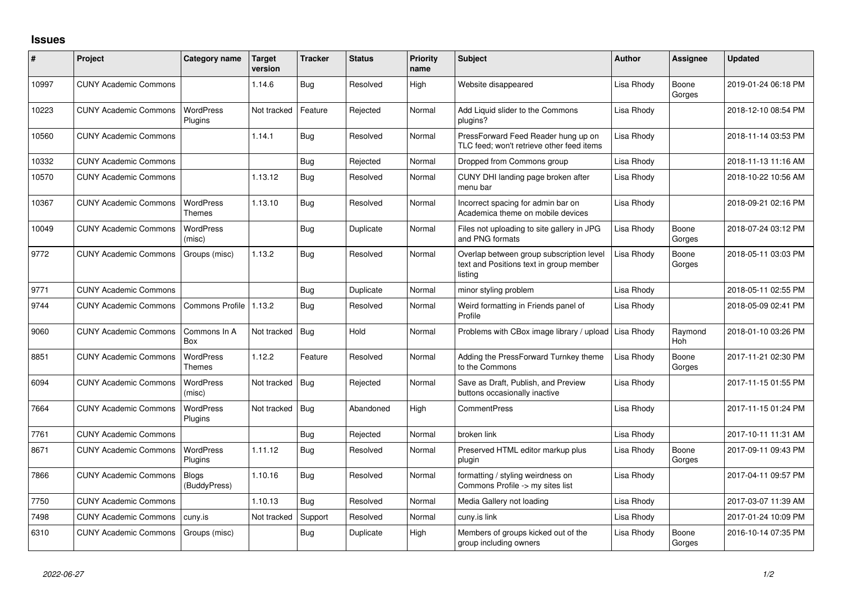## **Issues**

| ∦     | Project                      | Category name                     | Target<br>version | <b>Tracker</b> | <b>Status</b> | <b>Priority</b><br>name | <b>Subject</b>                                                                                 | Author     | <b>Assignee</b> | <b>Updated</b>      |
|-------|------------------------------|-----------------------------------|-------------------|----------------|---------------|-------------------------|------------------------------------------------------------------------------------------------|------------|-----------------|---------------------|
| 10997 | <b>CUNY Academic Commons</b> |                                   | 1.14.6            | Bug            | Resolved      | High                    | Website disappeared                                                                            | Lisa Rhody | Boone<br>Gorges | 2019-01-24 06:18 PM |
| 10223 | <b>CUNY Academic Commons</b> | <b>WordPress</b><br>Plugins       | Not tracked       | Feature        | Rejected      | Normal                  | Add Liquid slider to the Commons<br>plugins?                                                   | Lisa Rhody |                 | 2018-12-10 08:54 PM |
| 10560 | <b>CUNY Academic Commons</b> |                                   | 1.14.1            | Bug            | Resolved      | Normal                  | PressForward Feed Reader hung up on<br>TLC feed; won't retrieve other feed items               | Lisa Rhody |                 | 2018-11-14 03:53 PM |
| 10332 | <b>CUNY Academic Commons</b> |                                   |                   | Bug            | Rejected      | Normal                  | Dropped from Commons group                                                                     | Lisa Rhody |                 | 2018-11-13 11:16 AM |
| 10570 | <b>CUNY Academic Commons</b> |                                   | 1.13.12           | Bug            | Resolved      | Normal                  | CUNY DHI landing page broken after<br>menu bar                                                 | Lisa Rhody |                 | 2018-10-22 10:56 AM |
| 10367 | <b>CUNY Academic Commons</b> | <b>WordPress</b><br>Themes        | 1.13.10           | <b>Bug</b>     | Resolved      | Normal                  | Incorrect spacing for admin bar on<br>Academica theme on mobile devices                        | Lisa Rhody |                 | 2018-09-21 02:16 PM |
| 10049 | <b>CUNY Academic Commons</b> | <b>WordPress</b><br>(misc)        |                   | Bug            | Duplicate     | Normal                  | Files not uploading to site gallery in JPG<br>and PNG formats                                  | Lisa Rhody | Boone<br>Gorges | 2018-07-24 03:12 PM |
| 9772  | <b>CUNY Academic Commons</b> | Groups (misc)                     | 1.13.2            | <b>Bug</b>     | Resolved      | Normal                  | Overlap between group subscription level<br>text and Positions text in group member<br>listing | Lisa Rhody | Boone<br>Gorges | 2018-05-11 03:03 PM |
| 9771  | <b>CUNY Academic Commons</b> |                                   |                   | Bug            | Duplicate     | Normal                  | minor styling problem                                                                          | Lisa Rhody |                 | 2018-05-11 02:55 PM |
| 9744  | <b>CUNY Academic Commons</b> | <b>Commons Profile</b>            | 1.13.2            | Bug            | Resolved      | Normal                  | Weird formatting in Friends panel of<br>Profile                                                | Lisa Rhody |                 | 2018-05-09 02:41 PM |
| 9060  | <b>CUNY Academic Commons</b> | Commons In A<br>Box               | Not tracked       | Bug            | Hold          | Normal                  | Problems with CBox image library / upload                                                      | Lisa Rhody | Raymond<br>Hoh  | 2018-01-10 03:26 PM |
| 8851  | <b>CUNY Academic Commons</b> | <b>WordPress</b><br><b>Themes</b> | 1.12.2            | Feature        | Resolved      | Normal                  | Adding the PressForward Turnkey theme<br>to the Commons                                        | Lisa Rhody | Boone<br>Gorges | 2017-11-21 02:30 PM |
| 6094  | <b>CUNY Academic Commons</b> | <b>WordPress</b><br>(misc)        | Not tracked       | Bug            | Rejected      | Normal                  | Save as Draft, Publish, and Preview<br>buttons occasionally inactive                           | Lisa Rhody |                 | 2017-11-15 01:55 PM |
| 7664  | <b>CUNY Academic Commons</b> | <b>WordPress</b><br>Plugins       | Not tracked       | Bug            | Abandoned     | High                    | <b>CommentPress</b>                                                                            | Lisa Rhody |                 | 2017-11-15 01:24 PM |
| 7761  | <b>CUNY Academic Commons</b> |                                   |                   | Bug            | Rejected      | Normal                  | broken link                                                                                    | Lisa Rhody |                 | 2017-10-11 11:31 AM |
| 8671  | <b>CUNY Academic Commons</b> | <b>WordPress</b><br>Plugins       | 1.11.12           | <b>Bug</b>     | Resolved      | Normal                  | Preserved HTML editor markup plus<br>plugin                                                    | Lisa Rhody | Boone<br>Gorges | 2017-09-11 09:43 PM |
| 7866  | <b>CUNY Academic Commons</b> | <b>Blogs</b><br>(BuddyPress)      | 1.10.16           | Bug            | Resolved      | Normal                  | formatting / styling weirdness on<br>Commons Profile -> my sites list                          | Lisa Rhody |                 | 2017-04-11 09:57 PM |
| 7750  | <b>CUNY Academic Commons</b> |                                   | 1.10.13           | Bug            | Resolved      | Normal                  | Media Gallery not loading                                                                      | Lisa Rhody |                 | 2017-03-07 11:39 AM |
| 7498  | <b>CUNY Academic Commons</b> | cuny.is                           | Not tracked       | Support        | Resolved      | Normal                  | cuny.is link                                                                                   | Lisa Rhody |                 | 2017-01-24 10:09 PM |
| 6310  | <b>CUNY Academic Commons</b> | Groups (misc)                     |                   | Bug            | Duplicate     | High                    | Members of groups kicked out of the<br>group including owners                                  | Lisa Rhody | Boone<br>Gorges | 2016-10-14 07:35 PM |